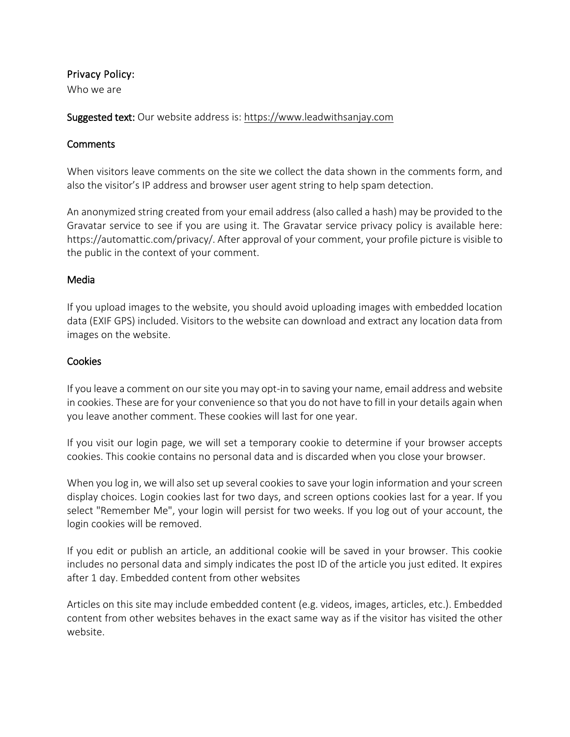## Privacy Policy:

Who we are

Suggested text: Our website address is: [https://www.leadwithsanjay.com](https://www.leadwithsanjay.com./)

## **Comments**

When visitors leave comments on the site we collect the data shown in the comments form, and also the visitor's IP address and browser user agent string to help spam detection.

An anonymized string created from your email address (also called a hash) may be provided to the Gravatar service to see if you are using it. The Gravatar service privacy policy is available here: https://automattic.com/privacy/. After approval of your comment, your profile picture is visible to the public in the context of your comment.

#### Media

If you upload images to the website, you should avoid uploading images with embedded location data (EXIF GPS) included. Visitors to the website can download and extract any location data from images on the website.

## Cookies

If you leave a comment on our site you may opt-in to saving your name, email address and website in cookies. These are for your convenience so that you do not have to fill in your details again when you leave another comment. These cookies will last for one year.

If you visit our login page, we will set a temporary cookie to determine if your browser accepts cookies. This cookie contains no personal data and is discarded when you close your browser.

When you log in, we will also set up several cookies to save your login information and your screen display choices. Login cookies last for two days, and screen options cookies last for a year. If you select "Remember Me", your login will persist for two weeks. If you log out of your account, the login cookies will be removed.

If you edit or publish an article, an additional cookie will be saved in your browser. This cookie includes no personal data and simply indicates the post ID of the article you just edited. It expires after 1 day. Embedded content from other websites

Articles on this site may include embedded content (e.g. videos, images, articles, etc.). Embedded content from other websites behaves in the exact same way as if the visitor has visited the other website.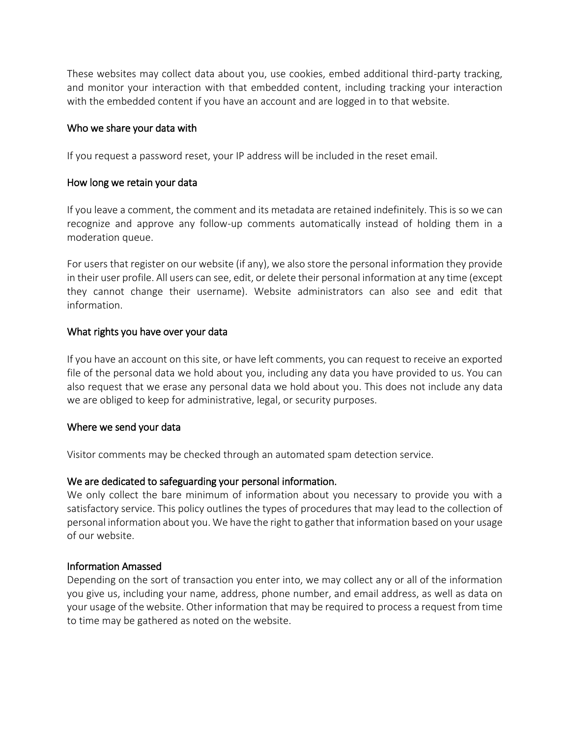These websites may collect data about you, use cookies, embed additional third-party tracking, and monitor your interaction with that embedded content, including tracking your interaction with the embedded content if you have an account and are logged in to that website.

#### Who we share your data with

If you request a password reset, your IP address will be included in the reset email.

## How long we retain your data

If you leave a comment, the comment and its metadata are retained indefinitely. This is so we can recognize and approve any follow-up comments automatically instead of holding them in a moderation queue.

For users that register on our website (if any), we also store the personal information they provide in their user profile. All users can see, edit, or delete their personal information at any time (except they cannot change their username). Website administrators can also see and edit that information.

## What rights you have over your data

If you have an account on this site, or have left comments, you can request to receive an exported file of the personal data we hold about you, including any data you have provided to us. You can also request that we erase any personal data we hold about you. This does not include any data we are obliged to keep for administrative, legal, or security purposes.

#### Where we send your data

Visitor comments may be checked through an automated spam detection service.

# We are dedicated to safeguarding your personal information.

We only collect the bare minimum of information about you necessary to provide you with a satisfactory service. This policy outlines the types of procedures that may lead to the collection of personal information about you. We have the right to gather that information based on your usage of our website.

#### Information Amassed

Depending on the sort of transaction you enter into, we may collect any or all of the information you give us, including your name, address, phone number, and email address, as well as data on your usage of the website. Other information that may be required to process a request from time to time may be gathered as noted on the website.